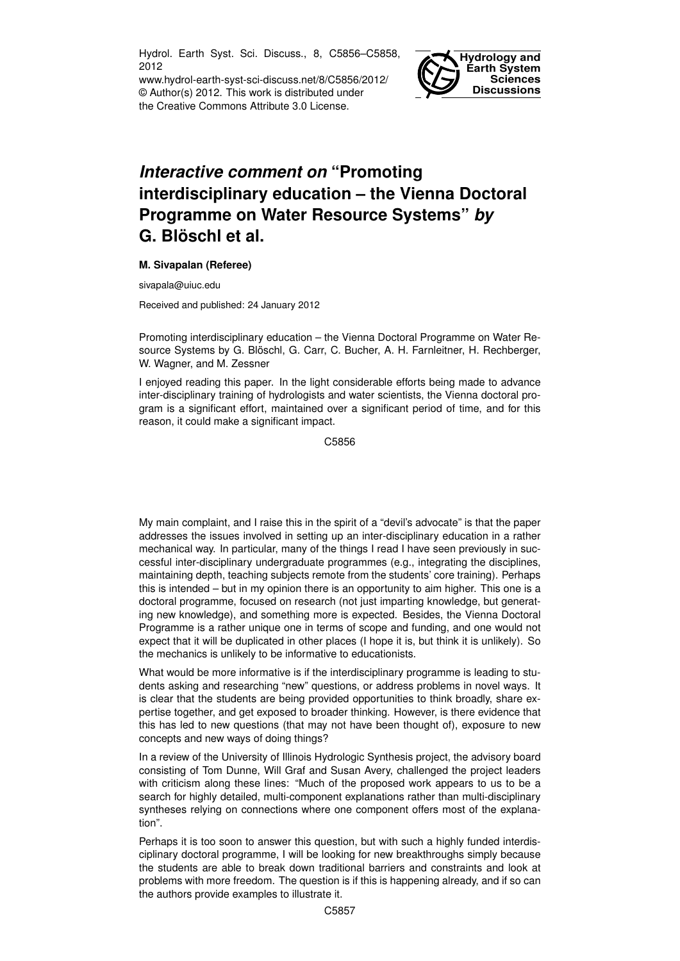Hydrol. Earth Syst. Sci. Discuss., 8, C5856–C5858, 2012

www.hydrol-earth-syst-sci-discuss.net/8/C5856/2012/ © Author(s) 2012. This work is distributed under the Creative Commons Attribute 3.0 License.



## *Interactive comment on* **"Promoting interdisciplinary education – the Vienna Doctoral Programme on Water Resource Systems"** *by* **G. Blöschl et al.**

## **M. Sivapalan (Referee)**

sivapala@uiuc.edu

Received and published: 24 January 2012

Promoting interdisciplinary education – the Vienna Doctoral Programme on Water Resource Systems by G. Blöschl, G. Carr, C. Bucher, A. H. Farnleitner, H. Rechberger, W. Wagner, and M. Zessner

I enjoyed reading this paper. In the light considerable efforts being made to advance inter-disciplinary training of hydrologists and water scientists, the Vienna doctoral program is a significant effort, maintained over a significant period of time, and for this reason, it could make a significant impact.

C5856

My main complaint, and I raise this in the spirit of a "devil's advocate" is that the paper addresses the issues involved in setting up an inter-disciplinary education in a rather mechanical way. In particular, many of the things I read I have seen previously in successful inter-disciplinary undergraduate programmes (e.g., integrating the disciplines, maintaining depth, teaching subjects remote from the students' core training). Perhaps this is intended – but in my opinion there is an opportunity to aim higher. This one is a doctoral programme, focused on research (not just imparting knowledge, but generating new knowledge), and something more is expected. Besides, the Vienna Doctoral Programme is a rather unique one in terms of scope and funding, and one would not expect that it will be duplicated in other places (I hope it is, but think it is unlikely). So the mechanics is unlikely to be informative to educationists.

What would be more informative is if the interdisciplinary programme is leading to students asking and researching "new" questions, or address problems in novel ways. It is clear that the students are being provided opportunities to think broadly, share expertise together, and get exposed to broader thinking. However, is there evidence that this has led to new questions (that may not have been thought of), exposure to new concepts and new ways of doing things?

In a review of the University of Illinois Hydrologic Synthesis project, the advisory board consisting of Tom Dunne, Will Graf and Susan Avery, challenged the project leaders with criticism along these lines: "Much of the proposed work appears to us to be a search for highly detailed, multi-component explanations rather than multi-disciplinary syntheses relying on connections where one component offers most of the explanation".

Perhaps it is too soon to answer this question, but with such a highly funded interdisciplinary doctoral programme, I will be looking for new breakthroughs simply because the students are able to break down traditional barriers and constraints and look at problems with more freedom. The question is if this is happening already, and if so can the authors provide examples to illustrate it.